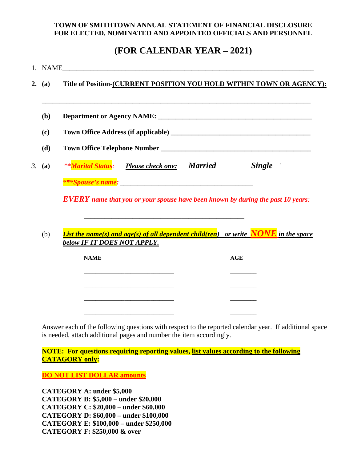## **TOWN OF SMITHTOWN ANNUAL STATEMENT OF FINANCIAL DISCLOSURE FOR ELECTED, NOMINATED AND APPOINTED OFFICIALS AND PERSONNEL**

# **(FOR CALENDAR YEAR – 2021)**

|    |        | 1. NAME                                                                                                                                      |
|----|--------|----------------------------------------------------------------------------------------------------------------------------------------------|
|    | 2. (a) | Title of Position-(CURRENT POSITION YOU HOLD WITHIN TOWN OR AGENCY):                                                                         |
|    | (b)    |                                                                                                                                              |
|    | (c)    |                                                                                                                                              |
|    | (d)    |                                                                                                                                              |
| 3. | (a)    | <b>Single</b>                                                                                                                                |
|    |        | <i><b>Example 2</b></i> Spouse's name:                                                                                                       |
|    |        | <b>EVERY</b> name that you or your spouse have been known by during the past 10 years:                                                       |
|    | (b)    | <u>List the name(s) and age(s) of all dependent child(ren)</u> or write $\overline{NONE}$ in the space<br><u>below IF IT DOES NOT APPLY.</u> |
|    |        | <b>NAME</b><br><b>AGE</b>                                                                                                                    |
|    |        |                                                                                                                                              |
|    |        |                                                                                                                                              |
|    |        |                                                                                                                                              |
|    |        |                                                                                                                                              |

Answer each of the following questions with respect to the reported calendar year. If additional space is needed, attach additional pages and number the item accordingly.

**NOTE: For questions requiring reporting values, list values according to the following CATAGORY only:** 

**DO NOT LIST DOLLAR amounts** 

**CATEGORY A: under \$5,000 CATEGORY B: \$5,000 – under \$20,000 CATEGORY C: \$20,000 – under \$60,000 CATEGORY D: \$60,000 – under \$100,000 CATEGORY E: \$100,000 – under \$250,000 CATEGORY F: \$250,000 & over**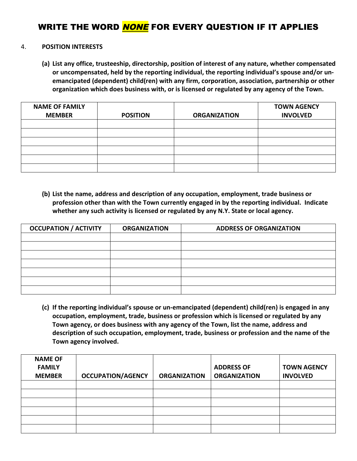# WRITE THE WORD NONE FOR EVERY QUESTION IF IT APPLIES

#### 4. **POSITION INTERESTS**

**(a) List any office, trusteeship, directorship, position of interest of any nature, whether compensated or uncompensated, held by the reporting individual, the reporting individual's spouse and/or unemancipated (dependent) child(ren) with any firm, corporation, association, partnership or other organization which does business with, or is licensed or regulated by any agency of the Town.** 

| <b>NAME OF FAMILY</b><br><b>MEMBER</b> | <b>POSITION</b> | <b>ORGANIZATION</b> | <b>TOWN AGENCY</b><br><b>INVOLVED</b> |
|----------------------------------------|-----------------|---------------------|---------------------------------------|
|                                        |                 |                     |                                       |
|                                        |                 |                     |                                       |
|                                        |                 |                     |                                       |
|                                        |                 |                     |                                       |
|                                        |                 |                     |                                       |
|                                        |                 |                     |                                       |

**(b) List the name, address and description of any occupation, employment, trade business or profession other than with the Town currently engaged in by the reporting individual. Indicate whether any such activity is licensed or regulated by any N.Y. State or local agency.** 

| <b>OCCUPATION / ACTIVITY</b> | <b>ORGANIZATION</b> | <b>ADDRESS OF ORGANIZATION</b> |
|------------------------------|---------------------|--------------------------------|
|                              |                     |                                |
|                              |                     |                                |
|                              |                     |                                |
|                              |                     |                                |
|                              |                     |                                |
|                              |                     |                                |
|                              |                     |                                |

**(c) If the reporting individual's spouse or un-emancipated (dependent) child(ren) is engaged in any occupation, employment, trade, business or profession which is licensed or regulated by any Town agency, or does business with any agency of the Town, list the name, address and description of such occupation, employment, trade, business or profession and the name of the Town agency involved.** 

| <b>NAME OF</b><br><b>FAMILY</b><br><b>MEMBER</b> | <b>OCCUPATION/AGENCY</b> | <b>ORGANIZATION</b> | <b>ADDRESS OF</b><br><b>ORGANIZATION</b> | <b>TOWN AGENCY</b><br><b>INVOLVED</b> |
|--------------------------------------------------|--------------------------|---------------------|------------------------------------------|---------------------------------------|
|                                                  |                          |                     |                                          |                                       |
|                                                  |                          |                     |                                          |                                       |
|                                                  |                          |                     |                                          |                                       |
|                                                  |                          |                     |                                          |                                       |
|                                                  |                          |                     |                                          |                                       |
|                                                  |                          |                     |                                          |                                       |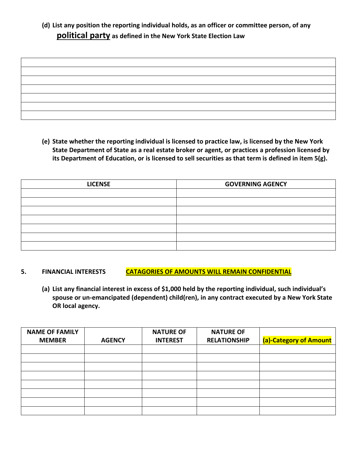## **(d) List any position the reporting individual holds, as an officer or committee person, of any political party as defined in the New York State Election Law**

**(e) State whether the reporting individual is licensed to practice law, is licensed by the New York State Department of State as a real estate broker or agent, or practices a profession licensed by its Department of Education, or is licensed to sell securities as that term is defined in item 5(g).** 

| <b>LICENSE</b> | <b>GOVERNING AGENCY</b> |
|----------------|-------------------------|
|                |                         |
|                |                         |
|                |                         |
|                |                         |
|                |                         |
|                |                         |
|                |                         |

- 5. FINANCIAL INTERESTS **CATAGORIES OF AMOUNTS WILL REMAIN CONFIDENTIAL** 
	- **(a) List any financial interest in excess of \$1,000 held by the reporting individual, such individual's spouse or un-emancipated (dependent) child(ren), in any contract executed by a New York State OR local agency.**

| <b>NAME OF FAMILY</b> |               | <b>NATURE OF</b> | <b>NATURE OF</b>    |                        |
|-----------------------|---------------|------------------|---------------------|------------------------|
| <b>MEMBER</b>         | <b>AGENCY</b> | <b>INTEREST</b>  | <b>RELATIONSHIP</b> | (a)-Category of Amount |
|                       |               |                  |                     |                        |
|                       |               |                  |                     |                        |
|                       |               |                  |                     |                        |
|                       |               |                  |                     |                        |
|                       |               |                  |                     |                        |
|                       |               |                  |                     |                        |
|                       |               |                  |                     |                        |
|                       |               |                  |                     |                        |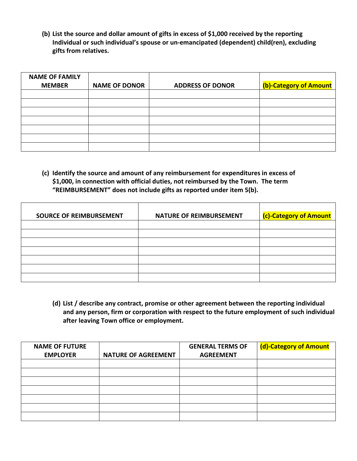**(b) List the source and dollar amount of gifts in excess of \$1,000 received by the reporting Individual or such individual's spouse or un-emancipated (dependent) child(ren), excluding gifts from relatives.** 

| <b>NAME OF FAMILY</b> |                      |                         |                        |
|-----------------------|----------------------|-------------------------|------------------------|
| <b>MEMBER</b>         | <b>NAME OF DONOR</b> | <b>ADDRESS OF DONOR</b> | (b)-Category of Amount |
|                       |                      |                         |                        |
|                       |                      |                         |                        |
|                       |                      |                         |                        |
|                       |                      |                         |                        |
|                       |                      |                         |                        |
|                       |                      |                         |                        |
|                       |                      |                         |                        |

**(c) Identify the source and amount of any reimbursement for expenditures in excess of \$1,000, in connection with official duties, not reimbursed by the Town. The term "REIMBURSEMENT" does not include gifts as reported under item 5(b).** 

| <b>SOURCE OF REIMBURSEMENT</b> | <b>NATURE OF REIMBURSEMENT</b> | <b>(c)-Category of Amount</b> |
|--------------------------------|--------------------------------|-------------------------------|
|                                |                                |                               |
|                                |                                |                               |
|                                |                                |                               |
|                                |                                |                               |
|                                |                                |                               |
|                                |                                |                               |
|                                |                                |                               |

**(d) List / describe any contract, promise or other agreement between the reporting individual and any person, firm or corporation with respect to the future employment of such individual after leaving Town office or employment.** 

| <b>NAME OF FUTURE</b> |                            | <b>GENERAL TERMS OF</b> | (d)-Category of Amount |
|-----------------------|----------------------------|-------------------------|------------------------|
| <b>EMPLOYER</b>       | <b>NATURE OF AGREEMENT</b> | <b>AGREEMENT</b>        |                        |
|                       |                            |                         |                        |
|                       |                            |                         |                        |
|                       |                            |                         |                        |
|                       |                            |                         |                        |
|                       |                            |                         |                        |
|                       |                            |                         |                        |
|                       |                            |                         |                        |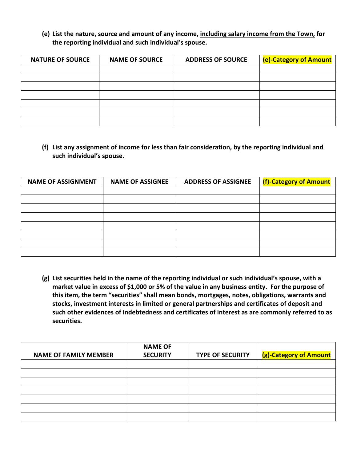## **(e) List the nature, source and amount of any income, including salary income from the Town, for the reporting individual and such individual's spouse.**

| <b>NATURE OF SOURCE</b> | <b>NAME OF SOURCE</b> | <b>ADDRESS OF SOURCE</b> | (e)-Category of Amount |
|-------------------------|-----------------------|--------------------------|------------------------|
|                         |                       |                          |                        |
|                         |                       |                          |                        |
|                         |                       |                          |                        |
|                         |                       |                          |                        |
|                         |                       |                          |                        |
|                         |                       |                          |                        |
|                         |                       |                          |                        |

**(f) List any assignment of income for less than fair consideration, by the reporting individual and such individual's spouse.** 

| <b>NAME OF ASSIGNMENT</b> | <b>NAME OF ASSIGNEE</b> | <b>ADDRESS OF ASSIGNEE</b> | (f)-Category of Amount |
|---------------------------|-------------------------|----------------------------|------------------------|
|                           |                         |                            |                        |
|                           |                         |                            |                        |
|                           |                         |                            |                        |
|                           |                         |                            |                        |
|                           |                         |                            |                        |
|                           |                         |                            |                        |
|                           |                         |                            |                        |
|                           |                         |                            |                        |

**(g) List securities held in the name of the reporting individual or such individual's spouse, with a market value in excess of \$1,000 or 5% of the value in any business entity. For the purpose of this item, the term "securities" shall mean bonds, mortgages, notes, obligations, warrants and stocks, investment interests in limited or general partnerships and certificates of deposit and such other evidences of indebtedness and certificates of interest as are commonly referred to as securities.** 

|                              | <b>NAME OF</b>  |                         |                        |
|------------------------------|-----------------|-------------------------|------------------------|
| <b>NAME OF FAMILY MEMBER</b> | <b>SECURITY</b> | <b>TYPE OF SECURITY</b> | (g)-Category of Amount |
|                              |                 |                         |                        |
|                              |                 |                         |                        |
|                              |                 |                         |                        |
|                              |                 |                         |                        |
|                              |                 |                         |                        |
|                              |                 |                         |                        |
|                              |                 |                         |                        |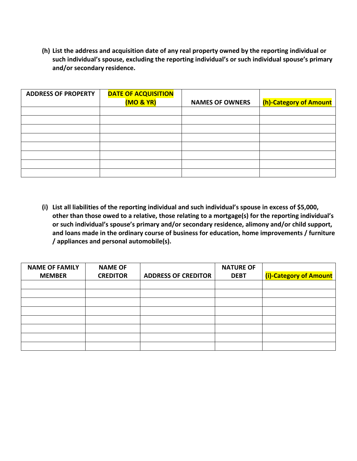**(h) List the address and acquisition date of any real property owned by the reporting individual or such individual's spouse, excluding the reporting individual's or such individual spouse's primary and/or secondary residence.** 

| <b>ADDRESS OF PROPERTY</b> | <b>DATE OF ACQUISITION</b><br>(MO & YR) | <b>NAMES OF OWNERS</b> | (h)-Category of Amount |
|----------------------------|-----------------------------------------|------------------------|------------------------|
|                            |                                         |                        |                        |
|                            |                                         |                        |                        |
|                            |                                         |                        |                        |
|                            |                                         |                        |                        |
|                            |                                         |                        |                        |
|                            |                                         |                        |                        |
|                            |                                         |                        |                        |
|                            |                                         |                        |                        |
|                            |                                         |                        |                        |

**(i) List all liabilities of the reporting individual and such individual's spouse in excess of \$5,000, other than those owed to a relative, those relating to a mortgage(s) for the reporting individual's or such individual's spouse's primary and/or secondary residence, alimony and/or child support, and loans made in the ordinary course of business for education, home improvements / furniture / appliances and personal automobile(s).** 

| <b>NAME OF FAMILY</b> | <b>NAME OF</b>  |                            | <b>NATURE OF</b> |                        |
|-----------------------|-----------------|----------------------------|------------------|------------------------|
| <b>MEMBER</b>         | <b>CREDITOR</b> | <b>ADDRESS OF CREDITOR</b> | <b>DEBT</b>      | (i)-Category of Amount |
|                       |                 |                            |                  |                        |
|                       |                 |                            |                  |                        |
|                       |                 |                            |                  |                        |
|                       |                 |                            |                  |                        |
|                       |                 |                            |                  |                        |
|                       |                 |                            |                  |                        |
|                       |                 |                            |                  |                        |
|                       |                 |                            |                  |                        |